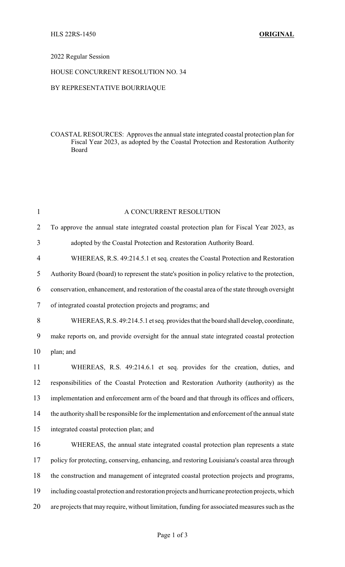### 2022 Regular Session

# HOUSE CONCURRENT RESOLUTION NO. 34

# BY REPRESENTATIVE BOURRIAQUE

### COASTAL RESOURCES: Approves the annual state integrated coastal protection plan for Fiscal Year 2023, as adopted by the Coastal Protection and Restoration Authority Board

| $\mathbf{1}$   | A CONCURRENT RESOLUTION                                                                         |
|----------------|-------------------------------------------------------------------------------------------------|
| $\overline{2}$ | To approve the annual state integrated coastal protection plan for Fiscal Year 2023, as         |
| 3              | adopted by the Coastal Protection and Restoration Authority Board.                              |
| 4              | WHEREAS, R.S. 49:214.5.1 et seq. creates the Coastal Protection and Restoration                 |
| 5              | Authority Board (board) to represent the state's position in policy relative to the protection, |
| 6              | conservation, enhancement, and restoration of the coastal area of the state through oversight   |
| 7              | of integrated coastal protection projects and programs; and                                     |
| 8              | WHEREAS, R.S. 49:214.5.1 et seq. provides that the board shall develop, coordinate,             |
| 9              | make reports on, and provide oversight for the annual state integrated coastal protection       |
| 10             | plan; and                                                                                       |
| 11             | WHEREAS, R.S. 49:214.6.1 et seq. provides for the creation, duties, and                         |
| 12             | responsibilities of the Coastal Protection and Restoration Authority (authority) as the         |
| 13             | implementation and enforcement arm of the board and that through its offices and officers,      |
| 14             | the authority shall be responsible for the implementation and enforcement of the annual state   |
| 15             | integrated coastal protection plan; and                                                         |
| 16             | WHEREAS, the annual state integrated coastal protection plan represents a state                 |
| 17             | policy for protecting, conserving, enhancing, and restoring Louisiana's coastal area through    |
| 18             | the construction and management of integrated coastal protection projects and programs,         |
| 19             | including coastal protection and restoration projects and hurricane protection projects, which  |
| 20             | are projects that may require, without limitation, funding for associated measures such as the  |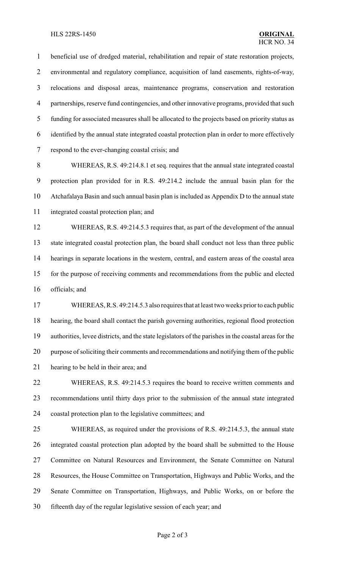#### HLS 22RS-1450 **ORIGINAL**

 beneficial use of dredged material, rehabilitation and repair of state restoration projects, environmental and regulatory compliance, acquisition of land easements, rights-of-way, relocations and disposal areas, maintenance programs, conservation and restoration partnerships, reserve fund contingencies, and other innovative programs, provided that such funding for associated measures shall be allocated to the projects based on priority status as identified by the annual state integrated coastal protection plan in order to more effectively respond to the ever-changing coastal crisis; and

 WHEREAS, R.S. 49:214.8.1 et seq. requires that the annual state integrated coastal protection plan provided for in R.S. 49:214.2 include the annual basin plan for the Atchafalaya Basin and such annual basin plan is included as Appendix D to the annual state integrated coastal protection plan; and

 WHEREAS, R.S. 49:214.5.3 requires that, as part of the development of the annual state integrated coastal protection plan, the board shall conduct not less than three public hearings in separate locations in the western, central, and eastern areas of the coastal area for the purpose of receiving comments and recommendations from the public and elected officials; and

 WHEREAS, R.S. 49:214.5.3 also requires that at least two weeks prior to each public hearing, the board shall contact the parish governing authorities, regional flood protection authorities, levee districts, and the state legislators of the parishes in the coastal areas for the purpose of soliciting their comments and recommendations and notifying them of the public hearing to be held in their area; and

 WHEREAS, R.S. 49:214.5.3 requires the board to receive written comments and recommendations until thirty days prior to the submission of the annual state integrated coastal protection plan to the legislative committees; and

 WHEREAS, as required under the provisions of R.S. 49:214.5.3, the annual state integrated coastal protection plan adopted by the board shall be submitted to the House Committee on Natural Resources and Environment, the Senate Committee on Natural Resources, the House Committee on Transportation, Highways and Public Works, and the Senate Committee on Transportation, Highways, and Public Works, on or before the fifteenth day of the regular legislative session of each year; and